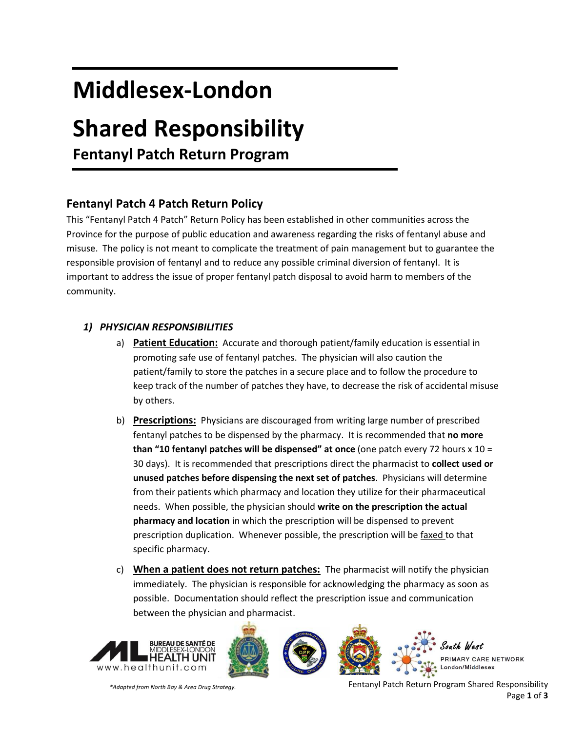# **Middlesex-London**

## **Shared Responsibility**

**Fentanyl Patch Return Program**

## **Fentanyl Patch 4 Patch Return Policy**

This "Fentanyl Patch 4 Patch" Return Policy has been established in other communities across the Province for the purpose of public education and awareness regarding the risks of fentanyl abuse and misuse. The policy is not meant to complicate the treatment of pain management but to guarantee the responsible provision of fentanyl and to reduce any possible criminal diversion of fentanyl. It is important to address the issue of proper fentanyl patch disposal to avoid harm to members of the community.

### *1) PHYSICIAN RESPONSIBILITIES*

- a) **Patient Education:** Accurate and thorough patient/family education is essential in promoting safe use of fentanyl patches. The physician will also caution the patient/family to store the patches in a secure place and to follow the procedure to keep track of the number of patches they have, to decrease the risk of accidental misuse by others.
- b) **Prescriptions:** Physicians are discouraged from writing large number of prescribed fentanyl patches to be dispensed by the pharmacy. It is recommended that **no more than "10 fentanyl patches will be dispensed" at once** (one patch every 72 hours x 10 = 30 days). It is recommended that prescriptions direct the pharmacist to **collect used or unused patches before dispensing the next set of patches**. Physicians will determine from their patients which pharmacy and location they utilize for their pharmaceutical needs. When possible, the physician should **write on the prescription the actual pharmacy and location** in which the prescription will be dispensed to prevent prescription duplication. Whenever possible, the prescription will be faxed to that specific pharmacy.
- c) **When a patient does not return patches:** The pharmacist will notify the physician immediately. The physician is responsible for acknowledging the pharmacy as soon as possible. Documentation should reflect the prescription issue and communication between the physician and pharmacist.









*\*Adapted from North Bay & Area Drug Strategy.*

Fentanyl Patch Return Program Shared Responsibility Page **1** of **3**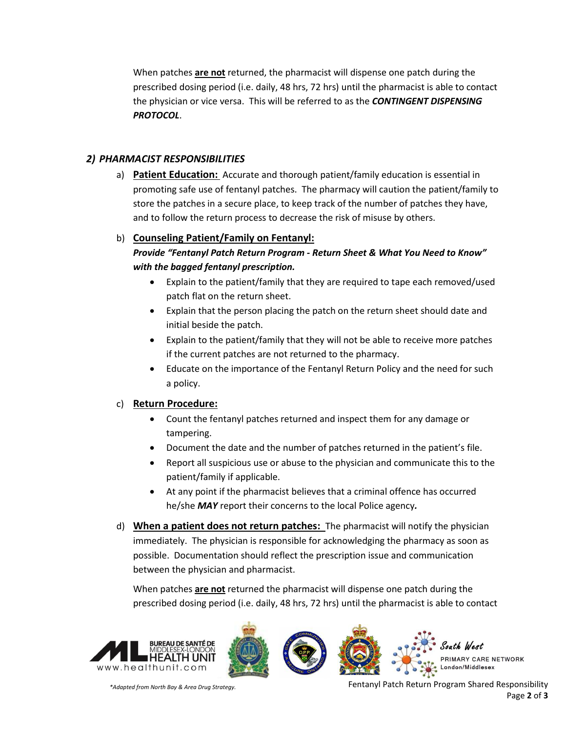When patches **are not** returned, the pharmacist will dispense one patch during the prescribed dosing period (i.e. daily, 48 hrs, 72 hrs) until the pharmacist is able to contact the physician or vice versa. This will be referred to as the *CONTINGENT DISPENSING PROTOCOL*.

#### *2) PHARMACIST RESPONSIBILITIES*

a) **Patient Education:** Accurate and thorough patient/family education is essential in promoting safe use of fentanyl patches. The pharmacy will caution the patient/family to store the patches in a secure place, to keep track of the number of patches they have, and to follow the return process to decrease the risk of misuse by others.

#### b) **Counseling Patient/Family on Fentanyl:**

*Provide "Fentanyl Patch Return Program - Return Sheet & What You Need to Know" with the bagged fentanyl prescription.*

- Explain to the patient/family that they are required to tape each removed/used patch flat on the return sheet.
- Explain that the person placing the patch on the return sheet should date and initial beside the patch.
- Explain to the patient/family that they will not be able to receive more patches if the current patches are not returned to the pharmacy.
- Educate on the importance of the Fentanyl Return Policy and the need for such a policy.

#### c) **Return Procedure:**

- Count the fentanyl patches returned and inspect them for any damage or tampering.
- Document the date and the number of patches returned in the patient's file.
- Report all suspicious use or abuse to the physician and communicate this to the patient/family if applicable.
- At any point if the pharmacist believes that a criminal offence has occurred he/she *MAY* report their concerns to the local Police agency*.*
- d) **When a patient does not return patches:** The pharmacist will notify the physician immediately. The physician is responsible for acknowledging the pharmacy as soon as possible. Documentation should reflect the prescription issue and communication between the physician and pharmacist.

When patches **are not** returned the pharmacist will dispense one patch during the prescribed dosing period (i.e. daily, 48 hrs, 72 hrs) until the pharmacist is able to contact



*\*Adapted from North Bay & Area Drug Strategy.*

Fentanyl Patch Return Program Shared Responsibility Page **2** of **3**